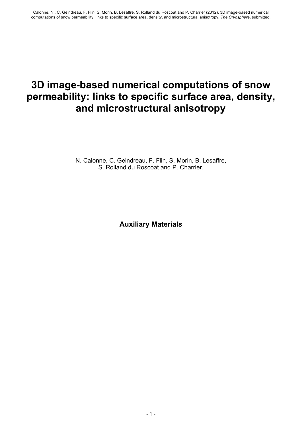# **3D image-based numerical computations of snow permeability: links to specific surface area, density, and microstructural anisotropy**

N. Calonne, C. Geindreau, F. Flin, S. Morin, B. Lesaffre, S. Rolland du Roscoat and P. Charrier.

**Auxiliary Materials**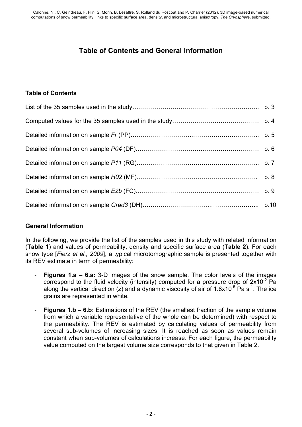## **Table of Contents and General Information**

#### **Table of Contents**

#### **General Information**

In the following, we provide the list of the samples used in this study with related information (**Table 1**) and values of permeability, density and specific surface area (**Table 2**). For each snow type [*Fierz et al., 2009*], a typical microtomographic sample is presented together with its REV estimate in term of permeability:

- **Figures 1.a 6.a:** 3-D images of the snow sample. The color levels of the images correspond to the fluid velocity (intensity) computed for a pressure drop of  $2x10^{-2}$  Pa along the vertical direction (z) and a dynamic viscosity of air of 1.8x10<sup>-5</sup> Pa s<sup>-1</sup>. The ice grains are represented in white.
- **Figures 1.b 6.b:** Estimations of the REV (the smallest fraction of the sample volume from which a variable representative of the whole can be determined) with respect to the permeability. The REV is estimated by calculating values of permeability from several sub-volumes of increasing sizes. It is reached as soon as values remain constant when sub-volumes of calculations increase. For each figure, the permeability value computed on the largest volume size corresponds to that given in Table 2.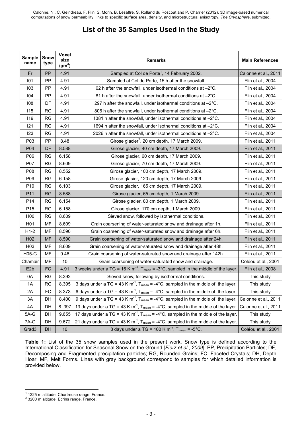### **List of the 35 Samples Used in the Study**

| <b>Sample</b><br>name | <b>Snow</b><br>type | Voxel<br>size<br>$(\mu m^3)$ | <b>Remarks</b>                                                                                             | <b>Main References</b> |
|-----------------------|---------------------|------------------------------|------------------------------------------------------------------------------------------------------------|------------------------|
| Fr                    | PP                  | 4.91                         | Sampled at Col de Porte <sup>1</sup> , 14 February 2002.                                                   | Calonne et al., 2011   |
| 101                   | <b>PP</b>           | 4.91                         | Sampled at Col de Porte, 15 h after the snowfall.                                                          | Flin et al., 2004      |
| 103                   | PP                  | 4.91                         | 62 h after the snowfall, under isothermal conditions at -2°C.                                              | Flin et al., 2004      |
| 104                   | PP                  | 4.91                         | 81 h after the snowfall, under isothermal conditions at -2°C.                                              | Flin et al., 2004      |
| 108                   | DF                  | 4.91                         | 297 h after the snowfall, under isothermal conditions at $-2^{\circ}$ C.                                   | Flin et al., 2004      |
| 115                   | <b>RG</b>           | 4.91                         | 806 h after the snowfall, under isothermal conditions at -2°C.                                             | Flin et al., 2004      |
| 119                   | <b>RG</b>           | 4.91                         | 1381 h after the snowfall, under isothermal conditions at -2°C.                                            | Flin et al., 2004      |
| 121                   | <b>RG</b>           | 4.91                         | 1694 h after the snowfall, under isothermal conditions at -2°C.                                            | Flin et al., 2004      |
| 123                   | <b>RG</b>           | 4.91                         | 2026 h after the snowfall, under isothermal conditions at -2°C.                                            | Flin et al., 2004      |
| P03                   | <b>PP</b>           | 8.48                         | Girose glacier <sup>2</sup> , 20 cm depth, 17 March 2009.                                                  | Flin et al., 2011      |
| P04                   | <b>DF</b>           | 8.588                        | Girose glacier, 40 cm depth, 17 March 2009.                                                                | Flin et al., 2011      |
| P06                   | <b>RG</b>           | 6.158                        | Girose glacier, 60 cm depth, 17 March 2009.                                                                | Flin et al., 2011      |
| P07                   | <b>RG</b>           | 8.609                        | Girose glacier, 70 cm depth, 17 March 2009.                                                                | Flin et al., 2011      |
| P08                   | <b>RG</b>           | 8.552                        | Girose glacier, 100 cm depth, 17 March 2009.                                                               | Flin et al., 2011      |
| P09                   | <b>RG</b>           | 6.158                        | Girose glacier, 120 cm depth, 17 March 2009.                                                               | Flin et al., 2011      |
| P <sub>10</sub>       | <b>RG</b>           | 6.103                        | Girose glacier, 165 cm depth, 17 March 2009.                                                               | Flin et al., 2011      |
| P11                   | <b>RG</b>           | 8.588                        | Girose glacier, 65 cm depth, 1 March 2009.                                                                 | Flin et al., 2011      |
| P14                   | <b>RG</b>           | 6.154                        | Girose glacier, 80 cm depth, 1 March 2009.                                                                 | Flin et al., 2011      |
| P <sub>15</sub>       | <b>RG</b>           | 6.158                        | Girose glacier, 170 cm depth, 1 March 2009.                                                                | Flin et al., 2011      |
| H <sub>0</sub>        | <b>RG</b>           | 8.609                        | Sieved snow, followed by isothermal conditions.                                                            | Flin et al., 2011      |
| H01                   | MF                  | 8.609                        | Grain coarsening of water-saturated snow and drainage after 1h.                                            | Flin et al., 2011      |
| $H1-2$                | MF                  | 8.590                        | Grain coarsening of water-saturated snow and drainage after 6h.                                            | Flin et al., 2011      |
| H <sub>02</sub>       | <b>MF</b>           | 8.590                        | Grain coarsening of water-saturated snow and drainage after 24h.                                           | Flin et al., 2011      |
| H <sub>03</sub>       | MF                  | 8.609                        | Grain coarsening of water-saturated snow and drainage after 48h.                                           | Flin et al., 2011      |
| H05-G                 | MF                  | 9.46                         | Grain coarsening of water-saturated snow and drainage after 142h.                                          | Flin et al., 2011      |
| Chamair               | MF                  | 10                           | Grain coarsening of water-saturated snow and drainage.                                                     | Coléou et al., 2001    |
| E <sub>2</sub> b      | FC                  | 4.91                         | 3 weeks under a TG = 16 K m <sup>-1</sup> , $T_{mean} = -3^{\circ}C$ , sampled in the middle of the layer. | Flin et al., 2008      |
| 0A                    | <b>RG</b>           | 8.392                        | Sieved snow, following by isothermal conditions.                                                           | This study             |
| 1A                    | <b>RG</b>           | 8.395                        | 3 days under a TG = 43 K m <sup>-1</sup> , T <sub>mean</sub> = -4°C, sampled in the middle of the layer.   | This study             |
| 2A                    | FC                  | 8.373                        | 6 days under a TG = 43 K m <sup>-1</sup> , T <sub>mean</sub> = -4°C, sampled in the middle of the layer.   | This study             |
| 3A                    | DH                  | 8.400                        | 9 days under a TG = 43 K m <sup>-1</sup> , $T_{mean} = -4$ °C, sampled in the middle of the layer.         | Calonne et al., 2011   |
| 4A                    | DH                  | 8.397                        | 13 days under a TG = 43 K m <sup>-1</sup> , $T_{mean} = -4^{\circ}C$ , sampled in the middle of the layer. | Calonne et al., 2011   |
| $5A-G$                | DH                  | 9.655                        | 17 days under a TG = 43 K m <sup>-1</sup> , $T_{mean} = -4$ °C, sampled in the middle of the layer.        | This study             |
| 7A-G                  | DH                  | 9.672                        | 21 days under a TG = 43 K m <sup>-1</sup> , $T_{mean} = -4^{\circ}C$ , sampled in the middle of the layer. | This study             |
| Grad <sub>3</sub>     | DH                  | 10                           | 8 days under a TG = 100 K $m^{-1}$ , T <sub>mean</sub> = -5°C.                                             | Coléou et al., 2001    |

**Table 1:** List of the 35 snow samples used in the present work. Snow type is defined according to the International Classification for Seasonal Snow on the Ground [*Fierz et al., 2009*]: PP, Precipitation Particles; DF, Decomposing and Fragmented precipitation particles; RG, Rounded Grains; FC, Faceted Crystals; DH, Depth Hoar; MF, Melt Forms. Lines with gray background correspond to samples for which detailed information is provided below.

 1 1325 m altitude, Chartreuse range, France. 2 3200 m altitude, Ecrins range, France.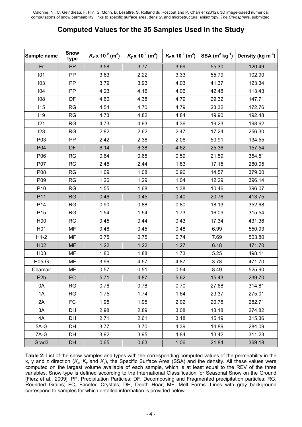#### **Computed Values for the 35 Samples Used in the Study**

| Sample name       | <b>Snow</b><br>type | $K_x$ x 10 <sup>-9</sup> (m <sup>2</sup> ) | $K_y$ x 10 <sup>-9</sup> (m <sup>2</sup> ) | $K_z$ x 10 <sup>-9</sup> (m <sup>2</sup> ) | <b>SSA</b> $(m^2 kg^{-1})$ | Density (kg $m^3$ ) |
|-------------------|---------------------|--------------------------------------------|--------------------------------------------|--------------------------------------------|----------------------------|---------------------|
| Fr                | PP                  | 3.58                                       | 3.77                                       | 3.69                                       | 55.30                      | 120.49              |
| 101               | <b>PP</b>           | 3.83                                       | 2.22                                       | 3.33                                       | 55.79                      | 102.90              |
| 103               | PP                  | 3.79                                       | 3.93                                       | 4.03                                       | 41.37                      | 123.34              |
| 104               | PP                  | 4.23                                       | 4.16                                       | 4.06                                       | 42.48                      | 113.43              |
| 108               | DF                  | 4.60                                       | 4.38                                       | 4.79                                       | 29.32                      | 147.71              |
| 115               | <b>RG</b>           | 4.54                                       | 4.70                                       | 4.79                                       | 23.32                      | 172.76              |
| 119               | <b>RG</b>           | 4.73                                       | 4.82                                       | 4.84                                       | 19.90                      | 192.48              |
| 121               | <b>RG</b>           | 4.73                                       | 4.93                                       | 4.36                                       | 19.23                      | 198.62              |
| 123               | <b>RG</b>           | 2.82                                       | 2.62                                       | 2.47                                       | 17.24                      | 256.30              |
| P03               | PP                  | 2.42                                       | 2.38                                       | 2.06                                       | 50.91                      | 134.55              |
| P04               | DF                  | 6.14                                       | 6.38                                       | 4.62                                       | 25.36                      | 157.54              |
| P06               | <b>RG</b>           | 0.64                                       | 0.65                                       | 0.59                                       | 21.59                      | 354.51              |
| P07               | <b>RG</b>           | 2.45                                       | 2.44                                       | 1.83                                       | 17.15                      | 280.05              |
| P08               | <b>RG</b>           | 1.09                                       | 1.08                                       | 0.96                                       | 14.57                      | 379.00              |
| P09               | <b>RG</b>           | 1.26                                       | 1.29                                       | 1.04                                       | 12.29                      | 396.14              |
| P <sub>10</sub>   | <b>RG</b>           | 1.55                                       | 1.68                                       | 1.38                                       | 10.46                      | 396.07              |
| P11               | <b>RG</b>           | 0.46                                       | 0.45                                       | 0.40                                       | 20.76                      | 413.75              |
| P <sub>14</sub>   | <b>RG</b>           | 0.90                                       | 0.88                                       | 0.80                                       | 18.13                      | 352.68              |
| P <sub>15</sub>   | <b>RG</b>           | 1.54                                       | 1.54                                       | 1.73                                       | 16.09                      | 315.54              |
| H <sub>00</sub>   | <b>RG</b>           | 0.45                                       | 0.44                                       | 0.43                                       | 17.34                      | 431.36              |
| H <sub>0</sub> 1  | MF                  | 0.48                                       | 0.45                                       | 0.48                                       | 6.99                       | 550.93              |
| $H1-2$            | <b>MF</b>           | 0.75                                       | 0.75                                       | 0.74                                       | 7.69                       | 503.80              |
| H <sub>02</sub>   | <b>MF</b>           | 1.22                                       | 1.22                                       | 1.27                                       | 6.18                       | 471.70              |
| H03               | MF                  | 1.80                                       | 1.88                                       | 1.73                                       | 5.25                       | 498.11              |
| H05-G             | MF                  | 3.96                                       | 4.57                                       | 4.87                                       | 3.78                       | 471.70              |
| Chamair           | MF                  | 0.57                                       | 0.51                                       | 0.54                                       | 8.49                       | 525.90              |
| E <sub>2</sub> b  | <b>FC</b>           | 5.71                                       | 4.87                                       | 5.62                                       | 15.43                      | 239.70              |
| 0A                | <b>RG</b>           | 0.76                                       | 0.78                                       | 0.70                                       | 27.68                      | 314.81              |
| 1A                | <b>RG</b>           | 1.75                                       | 1.74                                       | 1.64                                       | 23.37                      | 275.01              |
| 2A                | FC                  | 1.95                                       | 1.95                                       | 2.02                                       | 20.75                      | 282.71              |
| 3A                | DH                  | 2.98                                       | 2.89                                       | 3.08                                       | 18.18                      | 274.82              |
| 4A                | DH                  | 2.71                                       | 2.61                                       | 3.18                                       | 15.19                      | 315.36              |
| $5A-G$            | DH                  | 3.77                                       | 3.70                                       | 4.39                                       | 14.89                      | 284.09              |
| 7A-G              | DH                  | 3.92                                       | 3.95                                       | 4.84                                       | 13.42                      | 311.23              |
| Grad <sub>3</sub> | DH                  | 0.65                                       | 0.63                                       | 1.06                                       | 21.84                      | 369.18              |

**Table 2:** List of the snow samples and types with the corresponding computed values of the permeability in the x, y and z direction  $(K_x, K_y$  and  $K_z$ ), the Specific Surface Area (SSA) and the density. All these values were computed on the largest volume available of each sample, which is at least equal to the REV of the three variables. Snow type is defined according to the International Classification for Seasonal Snow on the Ground [Fierz et al., 2009]: PP, Precipitation Particles; DF, Decomposing and Fragmented precipitation particles; RG, Rounded Grains; FC, Faceted Crystals; DH, Depth Hoar; MF, Melt Forms. Lines with gray background correspond to samples for which detailed information is provided below.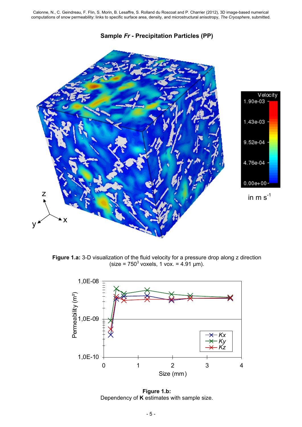**Sample** *Fr* **- Precipitation Particles (PP)**



**Figure 1.a:** 3-D visualization of the fluid velocity for a pressure drop along z direction  $(size = 750<sup>3</sup>$  voxels, 1 vox. = 4.91 µm).



**Figure 1.b:**  Dependency of **K** estimates with sample size.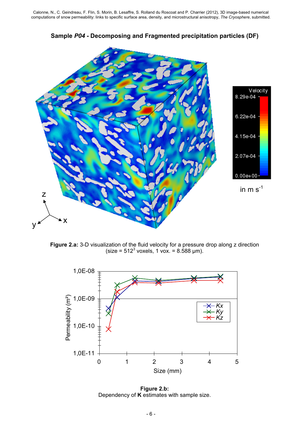

**Sample** *P04* **- Decomposing and Fragmented precipitation particles (DF)**

**Figure 2.a:** 3-D visualization of the fluid velocity for a pressure drop along z direction  $(size = 512<sup>3</sup>$  voxels, 1 vox. = 8.588 µm).



**Figure 2.b:**  Dependency of **K** estimates with sample size.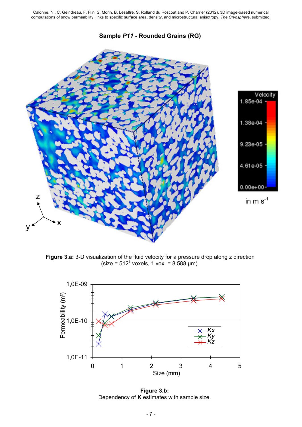**Sample** *P11* **- Rounded Grains (RG)**



**Figure 3.a:** 3-D visualization of the fluid velocity for a pressure drop along z direction  $(size = 512<sup>3</sup>$  voxels, 1 vox. = 8.588 µm).



**Figure 3.b:**  Dependency of **K** estimates with sample size.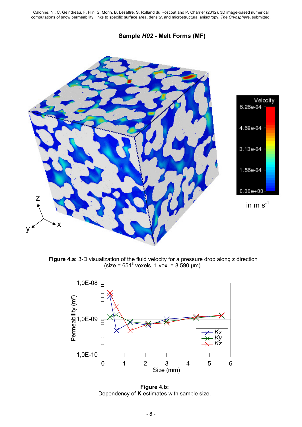**Sample** *H02* **- Melt Forms (MF)**



**Figure 4.a:** 3-D visualization of the fluid velocity for a pressure drop along z direction  $(size = 651<sup>3</sup>$  voxels, 1 vox. = 8.590 µm).



**Figure 4.b:**  Dependency of **K** estimates with sample size.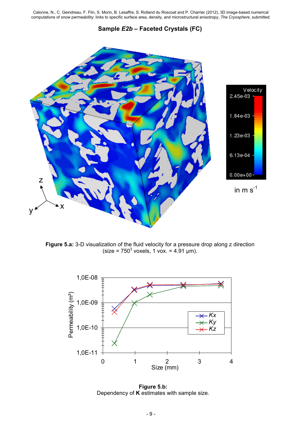#### **Sample** *E2b* **– Faceted Crystals (FC)**



**Figure 5.a:** 3-D visualization of the fluid velocity for a pressure drop along z direction  $(size = 750<sup>3</sup>$  voxels, 1 vox. = 4.91 µm).



**Figure 5.b:**  Dependency of **K** estimates with sample size.